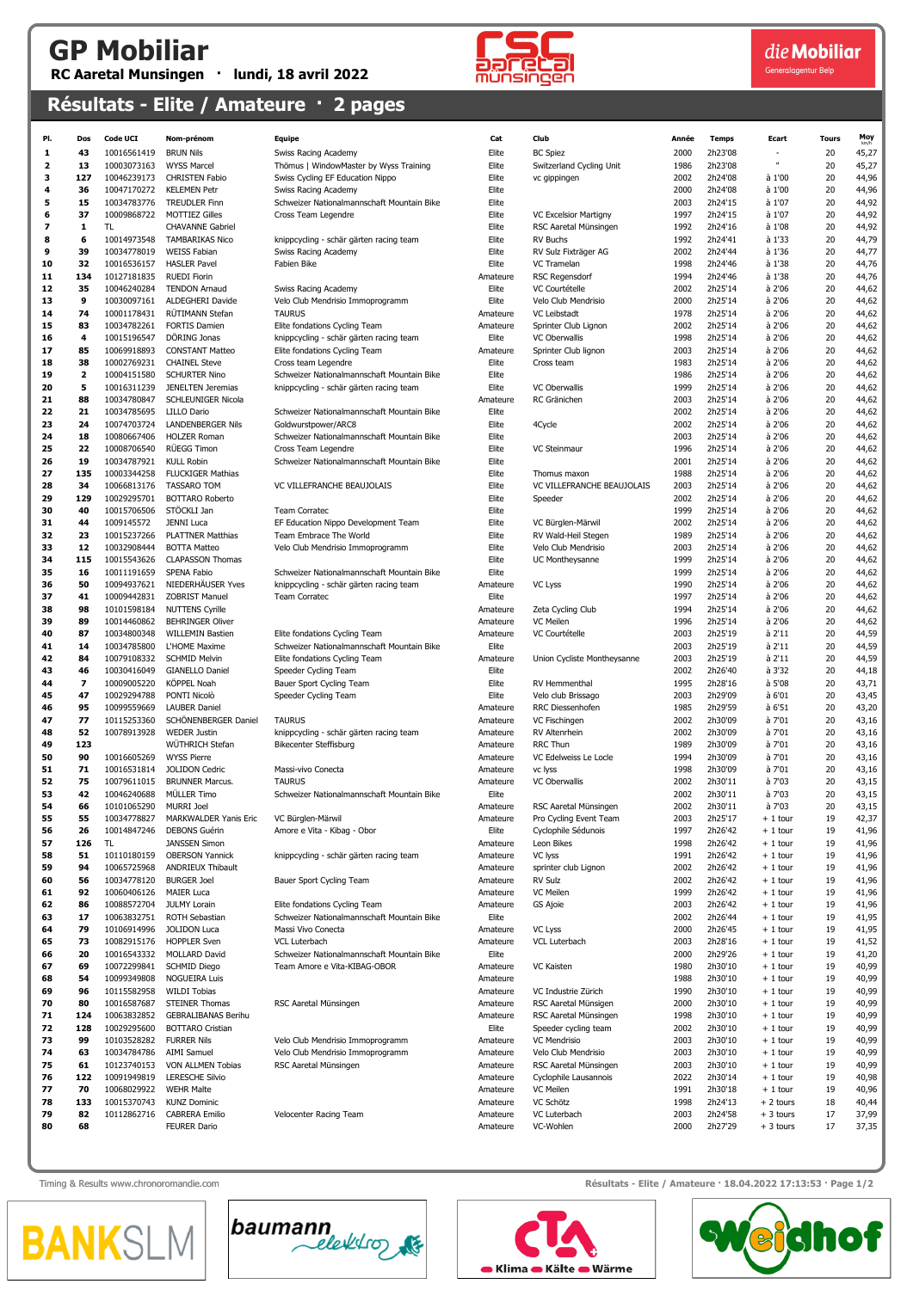## GP Mobiliar RC Aaretal Munsingen · lundi, 18 avril 2022



die Mobiliar

Generalagentur Bela

## Résultats - Elite / Amateure · 2 pages

| PI.      | Dos                      | <b>Code UCI</b> | Nom-prénom                                   | <b>Equipe</b>                                                   | Cat               | Club                        | Année | <b>Temps</b> | Ecart            | <b>Tours</b> | Moy   |
|----------|--------------------------|-----------------|----------------------------------------------|-----------------------------------------------------------------|-------------------|-----------------------------|-------|--------------|------------------|--------------|-------|
| 1        | 43                       | 10016561419     | <b>BRUN Nils</b>                             | Swiss Racing Academy                                            | Elite             | <b>BC Spiez</b>             | 2000  | 2h23'08      |                  | 20           | 45,27 |
| 2        | 13                       | 10003073163     | <b>WYSS Marcel</b>                           | Thömus   WindowMaster by Wyss Training                          | Elite             | Switzerland Cycling Unit    | 1986  | 2h23'08      | n,               | 20           | 45,27 |
| з        | 127                      | 10046239173     | <b>CHRISTEN Fabio</b>                        | Swiss Cycling EF Education Nippo                                | Elite             | vc gippingen                | 2002  | 2h24'08      | à 1'00           | 20           | 44,96 |
| 4        | 36                       | 10047170272     | <b>KELEMEN Petr</b>                          | Swiss Racing Academy                                            | Elite             |                             | 2000  | 2h24'08      | à 1'00           | 20           | 44,96 |
| 5        | 15                       | 10034783776     | <b>TREUDLER Finn</b>                         | Schweizer Nationalmannschaft Mountain Bike                      | Elite             |                             | 2003  | 2h24'15      | à 1'07           | 20           | 44,92 |
| 6        | 37                       | 10009868722     | <b>MOTTIEZ Gilles</b>                        | Cross Team Legendre                                             | Elite             | VC Excelsior Martigny       | 1997  | 2h24'15      | à 1'07           | 20           | 44,92 |
| 7        | 1                        | TL.             | <b>CHAVANNE Gabriel</b>                      |                                                                 | Elite             | RSC Aaretal Münsingen       | 1992  | 2h24'16      | à 1'08           | 20           | 44,92 |
| 8        | 6                        | 10014973548     | <b>TAMBARIKAS Nico</b>                       |                                                                 | Elite             | <b>RV Buchs</b>             | 1992  | 2h24'41      | à 1'33           | 20           | 44,79 |
| 9        | 39                       | 10034778019     | <b>WEISS Fabian</b>                          | knippcycling - schär gärten racing team<br>Swiss Racing Academy | Elite             | RV Sulz Fixträger AG        | 2002  | 2h24'44      | à 1'36           | 20           | 44,77 |
| 10       | 32                       | 10016536157     | <b>HASLER Pavel</b>                          | Fabien Bike                                                     | Elite             | VC Tramelan                 | 1998  | 2h24'46      | à 1'38           | 20           | 44,76 |
| 11       | 134                      | 10127181835     | <b>RUEDI Fiorin</b>                          |                                                                 | Amateure          | <b>RSC Regensdorf</b>       | 1994  | 2h24'46      | à 1'38           | 20           | 44,76 |
| 12       | 35                       | 10046240284     | <b>TENDON Arnaud</b>                         | Swiss Racing Academy                                            | Elite             | VC Courtételle              | 2002  | 2h25'14      | à 2'06           | 20           | 44,62 |
| 13       | 9                        | 10030097161     | ALDEGHERI Davide                             | Velo Club Mendrisio Immoprogramm                                | Elite             | Velo Club Mendrisio         | 2000  | 2h25'14      | à 2'06           | 20           | 44,62 |
| 14       | 74                       | 10001178431     | RÜTIMANN Stefan                              | <b>TAURUS</b>                                                   | Amateure          | VC Leibstadt                | 1978  | 2h25'14      | à 2'06           | 20           | 44,62 |
|          | 83                       |                 |                                              |                                                                 |                   | Sprinter Club Lignon        | 2002  | 2h25'14      |                  |              |       |
| 15<br>16 | 4                        | 10034782261     | <b>FORTIS Damien</b><br>DÖRING Jonas         | Elite fondations Cycling Team                                   | Amateure<br>Elite | VC Oberwallis               | 1998  | 2h25'14      | à 2'06<br>à 2'06 | 20<br>20     | 44,62 |
|          |                          | 10015196547     |                                              | knippcycling - schär gärten racing team                         |                   |                             |       |              |                  |              | 44,62 |
| 17       | 85                       | 10069918893     | <b>CONSTANT Matteo</b>                       | Elite fondations Cycling Team                                   | Amateure          | Sprinter Club lignon        | 2003  | 2h25'14      | à 2'06           | 20           | 44,62 |
| 18       | 38                       | 10002769231     | <b>CHAINEL Steve</b>                         | Cross team Legendre                                             | Elite             | Cross team                  | 1983  | 2h25'14      | à 2'06           | 20           | 44,62 |
| 19       | $\mathbf{2}$             | 10004151580     | <b>SCHURTER Nino</b>                         | Schweizer Nationalmannschaft Mountain Bike                      | Elite             |                             | 1986  | 2h25'14      | à 2'06           | 20           | 44,62 |
| 20       | 5                        | 10016311239     | JENELTEN Jeremias                            | knippcycling - schär gärten racing team                         | Elite             | <b>VC Oberwallis</b>        | 1999  | 2h25'14      | à 2'06           | 20           | 44,62 |
| 21       | 88                       | 10034780847     | SCHLEUNIGER Nicola                           |                                                                 | Amateure          | RC Gränichen                | 2003  | 2h25'14      | à 2'06           | 20           | 44,62 |
| 22       | 21                       | 10034785695     | <b>LILLO Dario</b>                           | Schweizer Nationalmannschaft Mountain Bike                      | Elite             |                             | 2002  | 2h25'14      | à 2'06           | 20           | 44,62 |
| 23       | 24                       | 10074703724     | <b>LANDENBERGER Nils</b>                     | Goldwurstpower/ARC8                                             | Elite             | 4Cycle                      | 2002  | 2h25'14      | à 2'06           | 20           | 44,62 |
| 24       | 18                       | 10080667406     | <b>HOLZER Roman</b>                          | Schweizer Nationalmannschaft Mountain Bike                      | Elite             |                             | 2003  | 2h25'14      | à 2'06           | 20           | 44,62 |
| 25       | 22                       | 10008706540     | RÜEGG Timon                                  | Cross Team Legendre                                             | Elite             | <b>VC Steinmaur</b>         | 1996  | 2h25'14      | à 2'06           | 20           | 44,62 |
| 26       | 19                       | 10034787921     | <b>KULL Robin</b>                            | Schweizer Nationalmannschaft Mountain Bike                      | Elite             |                             | 2001  | 2h25'14      | à 2'06           | 20           | 44,62 |
| 27       | 135                      | 10003344258     | <b>FLUCKIGER Mathias</b>                     |                                                                 | Elite             | Thomus maxon                | 1988  | 2h25'14      | à 2'06           | 20           | 44,62 |
| 28       | 34                       | 10066813176     | <b>TASSARO TOM</b>                           | VC VILLEFRANCHE BEAUJOLAIS                                      | Elite             | VC VILLEFRANCHE BEAUJOLAIS  | 2003  | 2h25'14      | à 2'06           | 20           | 44,62 |
| 29       | 129                      | 10029295701     | <b>BOTTARO Roberto</b>                       |                                                                 | Elite             | Speeder                     | 2002  | 2h25'14      | à 2'06           | 20           | 44,62 |
| 30       | 40                       | 10015706506     | STÖCKLI Jan                                  | <b>Team Corratec</b>                                            | Elite             |                             | 1999  | 2h25'14      | à 2'06           | 20           | 44,62 |
| 31       | 44                       | 1009145572      | <b>JENNI Luca</b>                            | EF Education Nippo Development Team                             | Elite             | VC Bürglen-Märwil           | 2002  | 2h25'14      | à 2'06           | 20           | 44,62 |
| 32       | 23                       | 10015237266     | <b>PLATTNER Matthias</b>                     | Team Embrace The World                                          | Elite             | RV Wald-Heil Stegen         | 1989  | 2h25'14      | à 2'06           | 20           | 44,62 |
| 33       | 12                       | 10032908444     | <b>BOTTA Matteo</b>                          | Velo Club Mendrisio Immoprogramm                                | Elite             | Velo Club Mendrisio         | 2003  | 2h25'14      | à 2'06           | 20           | 44,62 |
| 34       | 115                      | 10015543626     | <b>CLAPASSON Thomas</b>                      |                                                                 | Elite             | UC Montheysanne             | 1999  | 2h25'14      | à 2'06           | 20           | 44,62 |
| 35       | 16                       | 10011191659     | SPENA Fabio                                  | Schweizer Nationalmannschaft Mountain Bike                      | Elite             |                             | 1999  | 2h25'14      | à 2'06           | 20           | 44,62 |
| 36       | 50                       | 10094937621     | NIEDERHÄUSER Yves                            | knippcycling - schär gärten racing team                         | Amateure          | VC Lyss                     | 1990  | 2h25'14      | à 2'06           | 20           | 44,62 |
| 37       | 41                       | 10009442831     | <b>ZOBRIST Manuel</b>                        | Team Corratec                                                   | Elite             |                             | 1997  | 2h25'14      | à 2'06           | 20           | 44,62 |
| 38       | 98                       | 10101598184     | <b>NUTTENS Cyrille</b>                       |                                                                 | Amateure          | Zeta Cycling Club           | 1994  | 2h25'14      | à 2'06           | 20           | 44,62 |
| 39       | 89                       | 10014460862     | <b>BEHRINGER Oliver</b>                      |                                                                 | Amateure          | VC Meilen                   | 1996  | 2h25'14      | à 2'06           | 20           | 44,62 |
| 40       | 87                       | 10034800348     | <b>WILLEMIN Bastien</b>                      | Elite fondations Cycling Team                                   | Amateure          | VC Courtételle              | 2003  | 2h25'19      | à 2'11           | 20           | 44,59 |
| 41       | 14                       | 10034785800     | L'HOME Maxime                                | Schweizer Nationalmannschaft Mountain Bike                      | Elite             |                             | 2003  | 2h25'19      | à 2'11           | 20           | 44,59 |
| 42       | 84                       | 10079108332     | <b>SCHMID Melvin</b>                         | Elite fondations Cycling Team                                   | Amateure          | Union Cycliste Montheysanne | 2003  | 2h25'19      | à 2'11           | 20           | 44,59 |
| 43       | 46                       | 10030416049     | <b>GIANELLO Daniel</b>                       | Speeder Cycling Team                                            | Elite             |                             | 2002  | 2h26'40      | à 3'32           | 20           | 44,18 |
| 44       | $\overline{\phantom{a}}$ | 10009005220     | KÖPPEL Noah                                  | Bauer Sport Cycling Team                                        | Elite             | RV Hemmenthal               | 1995  | 2h28'16      | à 5'08           | 20           | 43,71 |
| 45       | 47                       | 10029294788     | PONTI Nicolò                                 | Speeder Cycling Team                                            | Elite             | Velo club Brissago          | 2003  | 2h29'09      | à 6'01           | 20           | 43,45 |
| 46       | 95                       | 10099559669     | <b>LAUBER Daniel</b>                         |                                                                 | Amateure          | RRC Diessenhofen            | 1985  | 2h29'59      | à 6'51           | 20           | 43,20 |
| 47       | 77                       | 10115253360     | SCHONENBERGER Daniel                         | <b>TAURUS</b>                                                   | Amateure          | VC Fischingen               | 2002  | 2h30'09      | à 7'01           | 20           | 43,16 |
| 48       | 52                       | 10078913928     | <b>WEDER Justin</b>                          | knippcycling - schär gärten racing team                         | Amateure          | RV Altenrhein               | 2002  | 2h30'09      | à 7'01           | 20           | 43,16 |
| 49       | 123                      |                 | WÜTHRICH Stefan                              | <b>Bikecenter Steffisburg</b>                                   | Amateure          | <b>RRC Thun</b>             | 1989  | 2h30'09      | à 7'01           | 20           | 43,16 |
| 50       | 90                       | 10016605269     | <b>WYSS Pierre</b>                           |                                                                 | Amateure          | VC Edelweiss Le Locle       | 1994  | 2h30'09      | à 7'01           | 20           | 43,16 |
| 51       | 71                       | 10016531814     | <b>JOLIDON Cedric</b>                        | Massi-vivo Conecta                                              | Amateure          | vc lyss                     | 1998  | 2h30'09      | à 7'01           | 20           | 43,16 |
| 52       | 75                       | 10079611015     | <b>BRUNNER Marcus.</b>                       | <b>TAURUS</b>                                                   |                   | <b>VC Oberwallis</b>        | 2002  | 2h30'11      | à 7'03           | 20           | 43,15 |
| 53       | 42                       |                 | MÜLLER Timo                                  | Schweizer Nationalmannschaft Mountain Bike                      | Amateure<br>Elite |                             | 2002  | 2h30'11      | à 7'03           | 20           | 43,15 |
|          |                          | 10046240688     |                                              |                                                                 |                   |                             |       |              |                  |              |       |
| 54       | 66                       | 10101065290     | <b>MURRI Joel</b>                            |                                                                 | Amateure          | RSC Aaretal Münsingen       | 2002  | 2h30'11      | à 7'03           | 20           | 43,15 |
| 55       | 55                       | 10034778827     | MARKWALDER Yanis Eric                        | VC Bürglen-Märwil                                               | Amateure          | Pro Cycling Event Team      | 2003  | 2h25'17      | $+1$ tour        | 19           | 42,37 |
| 56       | 26                       | 10014847246     | <b>DEBONS Guérin</b><br><b>JANSSEN Simon</b> | Amore e Vita - Kibag - Obor                                     | Elite             | Cyclophile Sédunois         | 1997  | 2h26'42      | $+1$ tour        | 19           | 41,96 |
| 57       | 126                      | TL              |                                              |                                                                 | Amateure          | Leon Bikes                  | 1998  | 2h26'42      | $+1$ tour        | 19           | 41,96 |
| 58       | 51                       | 10110180159     | <b>OBERSON Yannick</b>                       | knippcycling - schär gärten racing team                         | Amateure          | VC lyss                     | 1991  | 2h26'42      | $+1$ tour        | 19           | 41,96 |
| 59       | 94                       | 10065725968     | ANDRIEUX Thibault                            |                                                                 | Amateure          | sprinter club Lignon        | 2002  | 2h26'42      | $+1$ tour        | 19           | 41,96 |
| 60       | 56                       | 10034778120     | <b>BURGER Joel</b>                           | Bauer Sport Cycling Team                                        | Amateure          | <b>RV Sulz</b>              | 2002  | 2h26'42      | $+1$ tour        | 19           | 41,96 |
| 61       | 92                       | 10060406126     | <b>MAIER Luca</b>                            |                                                                 | Amateure          | VC Meilen                   | 1999  | 2h26'42      | $+1$ tour        | 19           | 41,96 |
| 62       | 86                       | 10088572704     | JULMY Lorain                                 | Elite fondations Cycling Team                                   | Amateure          | <b>GS Ajoie</b>             | 2003  | 2h26'42      | $+1$ tour        | 19           | 41,96 |
| 63       | 17                       | 10063832751     | ROTH Sebastian                               | Schweizer Nationalmannschaft Mountain Bike                      | Elite             |                             | 2002  | 2h26'44      | $+1$ tour        | 19           | 41,95 |
| 64       | 79                       | 10106914996     | <b>JOLIDON Luca</b>                          | Massi Vivo Conecta                                              | Amateure          | VC Lyss                     | 2000  | 2h26'45      | $+1$ tour        | 19           | 41,95 |
| 65       | 73                       | 10082915176     | <b>HOPPLER Sven</b>                          | VCL Luterbach                                                   | Amateure          | <b>VCL Luterbach</b>        | 2003  | 2h28'16      | $+1$ tour        | 19           | 41,52 |
| 66       | 20                       | 10016543332     | <b>MOLLARD David</b>                         | Schweizer Nationalmannschaft Mountain Bike                      | Elite             |                             | 2000  | 2h29'26      | $+1$ tour        | 19           | 41,20 |
| 67       | 69                       | 10072299841     | SCHMID Diego                                 | Team Amore e Vita-KIBAG-OBOR                                    | Amateure          | <b>VC Kaisten</b>           | 1980  | 2h30'10      | $+1$ tour        | 19           | 40,99 |
| 68       | 54                       | 10099349808     | <b>NOGUEIRA Luis</b>                         |                                                                 | Amateure          |                             | 1988  | 2h30'10      | $+1$ tour        | 19           | 40,99 |
| 69       | 96                       | 10115582958     | <b>WILDI Tobias</b>                          |                                                                 | Amateure          | VC Industrie Zürich         | 1990  | 2h30'10      | $+1$ tour        | 19           | 40,99 |
| 70       | 80                       | 10016587687     | <b>STEINER Thomas</b>                        | RSC Aaretal Münsingen                                           | Amateure          | RSC Aaretal Münsigen        | 2000  | 2h30'10      | $+1$ tour        | 19           | 40,99 |
| 71       | 124                      | 10063832852     | <b>GEBRALIBANAS Berihu</b>                   |                                                                 | Amateure          | RSC Aaretal Münsingen       | 1998  | 2h30'10      | $+1$ tour        | 19           | 40,99 |
| 72       | 128                      | 10029295600     | <b>BOTTARO Cristian</b>                      |                                                                 | Elite             | Speeder cycling team        | 2002  | 2h30'10      | $+1$ tour        | 19           | 40,99 |
| 73       | 99                       | 10103528282     | <b>FURRER Nils</b>                           | Velo Club Mendrisio Immoprogramm                                | Amateure          | <b>VC Mendrisio</b>         | 2003  | 2h30'10      | $+1$ tour        | 19           | 40,99 |
| 74       | 63                       | 10034784786     | AIMI Samuel                                  | Velo Club Mendrisio Immoprogramm                                | Amateure          | Velo Club Mendrisio         | 2003  | 2h30'10      | $+1$ tour        | 19           | 40,99 |
| 75       | 61                       | 10123740153     | VON ALLMEN Tobias                            | RSC Aaretal Münsingen                                           | Amateure          | RSC Aaretal Münsingen       | 2003  | 2h30'10      | $+1$ tour        | 19           | 40,99 |
| 76       | 122                      | 10091949819     | <b>LERESCHE Silvio</b>                       |                                                                 | Amateure          | Cyclophile Lausannois       | 2022  | 2h30'14      | $+1$ tour        | 19           | 40,98 |
| 77       | 70                       | 10068029922     | <b>WEHR Malte</b>                            |                                                                 | Amateure          | VC Meilen                   | 1991  | 2h30'18      | $+1$ tour        | 19           | 40,96 |
| 78       | 133                      | 10015370743     | <b>KUNZ Dominic</b>                          |                                                                 | Amateure          | VC Schötz                   | 1998  | 2h24'13      | + 2 tours        | 18           | 40,44 |
| 79       | 82                       | 10112862716     | <b>CABRERA Emilio</b>                        | Velocenter Racing Team                                          | Amateure          | VC Luterbach                | 2003  | 2h24'58      | $+3$ tours       | 17           | 37,99 |
| 80       | 68                       |                 | <b>FEURER Dario</b>                          |                                                                 | Amateure          | VC-Wohlen                   | 2000  | 2h27'29      | $+3$ tours       | 17           | 37,35 |
|          |                          |                 |                                              |                                                                 |                   |                             |       |              |                  |              |       |

| PI.      | Dos          | <b>Code UCI</b>            | Nom-prénom                                     | <b>Equipe</b>                                                              | Cat               | Club                                            | Année        | <b>Temps</b>       | Ecart                  | <b>Tours</b> | Moy            |
|----------|--------------|----------------------------|------------------------------------------------|----------------------------------------------------------------------------|-------------------|-------------------------------------------------|--------------|--------------------|------------------------|--------------|----------------|
| 1        | 43           | 10016561419                | <b>BRUN Nils</b>                               | Swiss Racing Academy                                                       | Elite             | <b>BC Spiez</b>                                 | 2000         | 2h23'08            |                        | 20           | 45,27          |
| 2        | 13           | 10003073163                | <b>WYSS Marcel</b>                             | Thömus   WindowMaster by Wyss Training                                     | Elite             | Switzerland Cycling Unit                        | 1986         | 2h23'08            |                        | 20           | 45,27          |
| з        | 127          | 10046239173                | <b>CHRISTEN Fabio</b>                          | Swiss Cycling EF Education Nippo                                           | Elite             | vc gippingen                                    | 2002         | 2h24'08            | à 1'00                 | 20           | 44,96          |
| 4        | 36           | 10047170272<br>10034783776 | <b>KELEMEN Petr</b>                            | Swiss Racing Academy<br>Schweizer Nationalmannschaft Mountain Bike         | Elite             |                                                 | 2000         | 2h24'08            | à 1'00                 | 20           | 44,96          |
| 5<br>6   | 15<br>37     | 10009868722                | <b>TREUDLER Finn</b><br><b>MOTTIEZ Gilles</b>  | Cross Team Legendre                                                        | Elite<br>Elite    | VC Excelsior Martigny                           | 2003<br>1997 | 2h24'15<br>2h24'15 | à 1'07<br>à 1'07       | 20<br>20     | 44,92<br>44,92 |
| 7        | 1            | TL                         | <b>CHAVANNE Gabriel</b>                        |                                                                            | Elite             | RSC Aaretal Münsingen                           | 1992         | 2h24'16            | à 1'08                 | 20           | 44,92          |
| 8        | 6            | 10014973548                | <b>TAMBARIKAS Nico</b>                         | knippcycling - schär gärten racing team                                    | Elite             | <b>RV Buchs</b>                                 | 1992         | 2h24'41            | à 1'33                 | 20           | 44,79          |
| 9        | 39           | 10034778019                | <b>WEISS Fabian</b>                            | Swiss Racing Academy                                                       | Elite             | RV Sulz Fixträger AG                            | 2002         | 2h24'44            | à 1'36                 | 20           | 44,77          |
| 10       | 32           | 10016536157                | <b>HASLER Pavel</b>                            | Fabien Bike                                                                | Elite             | VC Tramelan                                     | 1998         | 2h24'46            | à 1'38                 | 20           | 44,76          |
| 11       | 134          | 10127181835                | <b>RUEDI Fiorin</b>                            |                                                                            | Amateure          | <b>RSC Regensdorf</b>                           | 1994         | 2h24'46            | à 1'38                 | 20           | 44,76          |
| 12       | 35           | 10046240284                | <b>TENDON Arnaud</b>                           | Swiss Racing Academy                                                       | Elite             | VC Courtételle                                  | 2002         | 2h25'14            | à 2'06                 | 20           | 44,62          |
| 13       | 9            | 10030097161                | ALDEGHERI Davide                               | Velo Club Mendrisio Immoprogramm                                           | Elite             | Velo Club Mendrisio                             | 2000         | 2h25'14            | à 2'06                 | 20           | 44,62          |
| 14       | 74           | 10001178431                | RÜTIMANN Stefan                                | <b>TAURUS</b>                                                              | Amateure          | VC Leibstadt                                    | 1978         | 2h25'14            | à 2'06                 | 20           | 44,62          |
| 15       | 83           | 10034782261                | <b>FORTIS Damien</b>                           | Elite fondations Cycling Team                                              | Amateure          | Sprinter Club Lignon                            | 2002         | 2h25'14            | à 2'06                 | 20           | 44,62          |
| 16       | 4            | 10015196547                | DÖRING Jonas                                   | knippcycling - schär gärten racing team                                    | Elite             | <b>VC Oberwallis</b>                            | 1998         | 2h25'14            | à 2'06                 | 20           | 44,62          |
| 17<br>18 | 85<br>38     | 10069918893<br>10002769231 | <b>CONSTANT Matteo</b><br><b>CHAINEL Steve</b> | Elite fondations Cycling Team<br>Cross team Legendre                       | Amateure<br>Elite | Sprinter Club lignon<br>Cross team              | 2003<br>1983 | 2h25'14<br>2h25'14 | à 2'06<br>à 2'06       | 20<br>20     | 44,62<br>44,62 |
| 19       | $\mathbf{z}$ | 10004151580                | <b>SCHURTER Nino</b>                           | Schweizer Nationalmannschaft Mountain Bike                                 | Elite             |                                                 | 1986         | 2h25'14            | à 2'06                 | 20           | 44,62          |
| 20       | 5            | 10016311239                | JENELTEN Jeremias                              | knippcycling - schär gärten racing team                                    | Elite             | <b>VC Oberwallis</b>                            | 1999         | 2h25'14            | à 2'06                 | 20           | 44,62          |
| 21       | 88           | 10034780847                | SCHLEUNIGER Nicola                             |                                                                            | Amateure          | RC Gränichen                                    | 2003         | 2h25'14            | à 2'06                 | 20           | 44,62          |
| 22       | 21           | 10034785695                | <b>LILLO Dario</b>                             | Schweizer Nationalmannschaft Mountain Bike                                 | Elite             |                                                 | 2002         | 2h25'14            | à 2'06                 | 20           | 44,62          |
| 23       | 24           | 10074703724                | <b>LANDENBERGER Nils</b>                       | Goldwurstpower/ARC8                                                        | Elite             | 4Cycle                                          | 2002         | 2h25'14            | à 2'06                 | 20           | 44,62          |
| 24       | 18           | 10080667406                | <b>HOLZER Roman</b>                            | Schweizer Nationalmannschaft Mountain Bike                                 | Elite             |                                                 | 2003         | 2h25'14            | à 2'06                 | 20           | 44,62          |
| 25       | 22           | 10008706540                | RÜEGG Timon                                    | Cross Team Legendre                                                        | Elite             | VC Steinmaur                                    | 1996         | 2h25'14            | à 2'06                 | 20           | 44,62          |
| 26       | 19           | 10034787921                | <b>KULL Robin</b>                              | Schweizer Nationalmannschaft Mountain Bike                                 | Elite             |                                                 | 2001         | 2h25'14            | à 2'06                 | 20           | 44,62          |
| 27       | 135          | 10003344258                | <b>FLUCKIGER Mathias</b>                       |                                                                            | Elite             | Thomus maxon                                    | 1988         | 2h25'14            | à 2'06                 | 20           | 44,62          |
| 28       | 34           | 10066813176                | <b>TASSARO TOM</b>                             | VC VILLEFRANCHE BEAUJOLAIS                                                 | Elite             | VC VILLEFRANCHE BEAUJOLAIS                      | 2003         | 2h25'14            | à 2'06                 | 20           | 44,62          |
| 29       | 129          | 10029295701                | <b>BOTTARO Roberto</b>                         |                                                                            | Elite             | Speeder                                         | 2002         | 2h25'14            | à 2'06                 | 20           | 44,62          |
| 30       | 40           | 10015706506                | STÖCKLI Jan                                    | <b>Team Corratec</b>                                                       | Elite             |                                                 | 1999         | 2h25'14            | à 2'06                 | 20<br>20     | 44,62          |
| 31<br>32 | 44<br>23     | 1009145572<br>10015237266  | JENNI Luca<br><b>PLATTNER Matthias</b>         | EF Education Nippo Development Team<br>Team Embrace The World              | Elite<br>Elite    | VC Bürglen-Märwil<br>RV Wald-Heil Stegen        | 2002<br>1989 | 2h25'14<br>2h25'14 | à 2'06<br>à 2'06       | 20           | 44,62<br>44,62 |
| 33       | 12           | 10032908444                | <b>BOTTA Matteo</b>                            | Velo Club Mendrisio Immoprogramm                                           | Elite             | Velo Club Mendrisio                             | 2003         | 2h25'14            | à 2'06                 | 20           | 44,62          |
| 34       | 115          | 10015543626                | <b>CLAPASSON Thomas</b>                        |                                                                            | Elite             | UC Montheysanne                                 | 1999         | 2h25'14            | à 2'06                 | 20           | 44,62          |
| 35       | 16           | 10011191659                | <b>SPENA Fabio</b>                             | Schweizer Nationalmannschaft Mountain Bike                                 | Elite             |                                                 | 1999         | 2h25'14            | à 2'06                 | 20           | 44,62          |
| 36       | 50           | 10094937621                | NIEDERHÄUSER Yves                              | knippcycling - schär gärten racing team                                    | Amateure          | VC Lyss                                         | 1990         | 2h25'14            | à 2'06                 | 20           | 44,62          |
| 37       | 41           | 10009442831                | <b>ZOBRIST Manuel</b>                          | <b>Team Corratec</b>                                                       | Elite             |                                                 | 1997         | 2h25'14            | à 2'06                 | 20           | 44,62          |
| 38       | 98           | 10101598184                | <b>NUTTENS Cyrille</b>                         |                                                                            | Amateure          | Zeta Cycling Club                               | 1994         | 2h25'14            | à 2'06                 | 20           | 44,62          |
| 39       | 89           | 10014460862                | <b>BEHRINGER Oliver</b>                        |                                                                            | Amateure          | VC Meilen                                       | 1996         | 2h25'14            | à 2'06                 | 20           | 44,62          |
| 40       | 87           | 10034800348                | <b>WILLEMIN Bastien</b>                        | Elite fondations Cycling Team                                              | Amateure          | VC Courtételle                                  | 2003         | 2h25'19            | à 2'11                 | 20           | 44,59          |
| 41       | 14           | 10034785800                | L'HOME Maxime                                  | Schweizer Nationalmannschaft Mountain Bike                                 | Elite             |                                                 | 2003         | 2h25'19            | à 2'11                 | 20           | 44,59          |
| 42       | 84           | 10079108332                | <b>SCHMID Melvin</b>                           | Elite fondations Cycling Team                                              | Amateure          | Union Cycliste Montheysanne                     | 2003         | 2h25'19            | à 2'11                 | 20           | 44,59          |
| 43<br>44 | 46<br>7      | 10030416049<br>10009005220 | <b>GIANELLO Daniel</b><br>KÖPPEL Noah          | Speeder Cycling Team<br>Bauer Sport Cycling Team                           | Elite<br>Elite    | RV Hemmenthal                                   | 2002<br>1995 | 2h26'40<br>2h28'16 | à 3'32<br>à 5'08       | 20<br>20     | 44,18<br>43,71 |
| 45       | 47           | 10029294788                | PONTI Nicolò                                   | Speeder Cycling Team                                                       | Elite             | Velo club Brissago                              | 2003         | 2h29'09            | à 6'01                 | 20           | 43,45          |
| 46       | 95           | 10099559669                | <b>LAUBER Daniel</b>                           |                                                                            | Amateure          | RRC Diessenhofen                                | 1985         | 2h29'59            | à 6'51                 | 20           | 43,20          |
| 47       | 77           | 10115253360                | SCHÖNENBERGER Daniel                           | <b>TAURUS</b>                                                              | Amateure          | VC Fischingen                                   | 2002         | 2h30'09            | à 7'01                 | 20           | 43,16          |
| 48       | 52           | 10078913928                | <b>WEDER Justin</b>                            | knippcycling - schär gärten racing team                                    | Amateure          | <b>RV Altenrhein</b>                            | 2002         | 2h30'09            | à 7'01                 | 20           | 43,16          |
| 49       | 123          |                            | WÜTHRICH Stefan                                | <b>Bikecenter Steffisburg</b>                                              | Amateure          | <b>RRC Thun</b>                                 | 1989         | 2h30'09            | à 7'01                 | 20           | 43,16          |
| 50       | 90           | 10016605269                | <b>WYSS Pierre</b>                             |                                                                            | Amateure          | VC Edelweiss Le Locle                           | 1994         | 2h30'09            | à 7'01                 | 20           | 43,16          |
| 51       | 71           | 10016531814                | <b>JOLIDON Cedric</b>                          | Massi-vivo Conecta                                                         | Amateure          | vc lyss                                         | 1998         | 2h30'09            | à 7'01                 | 20           | 43,16          |
| 52       | 75           | 10079611015                | <b>BRUNNER Marcus.</b>                         | <b>TAURUS</b>                                                              | Amateure          | VC Oberwallis                                   | 2002         | 2h30'11            | à 7'03                 | 20           | 43,15          |
| 53       | 42           | 10046240688                | MÜLLER Timo                                    | Schweizer Nationalmannschaft Mountain Bike                                 | Elite             |                                                 | 2002         | 2h30'11            | à 7'03                 | 20           | 43,15          |
| 54<br>55 | 66           | 10101065290<br>10034778827 | MURRI Joel<br><b>MARKWALDER Yanis Eric</b>     | VC Bürglen-Märwil                                                          | Amateure          | RSC Aaretal Münsingen<br>Pro Cycling Event Team | 2002<br>2003 | 2h30'11<br>2h25'17 | à 7'03<br>$+1$ tour    | 20<br>19     | 43,15<br>42,37 |
| 56       | 55<br>26     | 10014847246                | <b>DEBONS Guérin</b>                           | Amore e Vita - Kibag - Obor                                                | Amateure<br>Elite | Cyclophile Sédunois                             | 1997         | 2h26'42            | $+1$ tour              | 19           | 41,96          |
| 57       | 126          | TL                         | <b>JANSSEN Simon</b>                           |                                                                            | Amateure          | Leon Bikes                                      | 1998         | 2h26'42            | $+1$ tour              | 19           | 41,96          |
| 58       | 51           | 10110180159                | <b>OBERSON Yannick</b>                         | knippcycling - schär gärten racing team                                    | Amateure          | VC lyss                                         | 1991         | 2h26'42            | $+1$ tour              | 19           | 41,96          |
| 59       | 94           | 10065725968                | <b>ANDRIEUX Thibault</b>                       |                                                                            | Amateure          | sprinter club Lignon                            | 2002         | 2h26'42            | $+1$ tour              | 19           | 41,96          |
| 60       | 56           | 10034778120                | <b>BURGER Joel</b>                             | Bauer Sport Cycling Team                                                   | Amateure          | RV Sulz                                         | 2002         | 2h26'42            | $+1$ tour              | 19           | 41,96          |
| 61       | 92           | 10060406126                | <b>MAIER Luca</b>                              |                                                                            | Amateure          | VC Meilen                                       | 1999         | 2h26'42            | $+1$ tour              | 19           | 41,96          |
| 62       | 86           | 10088572704                | <b>JULMY Lorain</b>                            | Elite fondations Cycling Team                                              | Amateure          | GS Ajoie                                        | 2003         | 2h26'42            | $+1$ tour              | 19           | 41,96          |
| 63       | 17           | 10063832751                | ROTH Sebastian                                 | Schweizer Nationalmannschaft Mountain Bike                                 | Elite             |                                                 | 2002         | 2h26'44            | $+1$ tour              | 19           | 41,95          |
| 64       | 79           | 10106914996                | <b>JOLIDON Luca</b>                            | Massi Vivo Conecta                                                         | Amateure          | VC Lyss                                         | 2000         | 2h26'45            | $+1$ tour              | 19           | 41,95          |
| 65       | 73           | 10082915176                | <b>HOPPLER Sven</b>                            | <b>VCL Luterbach</b>                                                       | Amateure          | VCL Luterbach                                   | 2003         | 2h28'16            | $+1$ tour              | 19           | 41,52          |
| 66<br>67 | 20<br>69     | 10016543332<br>10072299841 | MOLLARD David<br>SCHMID Diego                  | Schweizer Nationalmannschaft Mountain Bike<br>Team Amore e Vita-KIBAG-OBOR | Elite<br>Amateure | VC Kaisten                                      | 2000<br>1980 | 2h29'26<br>2h30'10 | $+1$ tour<br>$+1$ tour | 19<br>19     | 41,20<br>40,99 |
| 68       | 54           | 10099349808                | <b>NOGUEIRA Luis</b>                           |                                                                            | Amateure          |                                                 | 1988         | 2h30'10            | $+1$ tour              | 19           | 40,99          |
| 69       | 96           | 10115582958                | <b>WILDI Tobias</b>                            |                                                                            | Amateure          | VC Industrie Zürich                             | 1990         | 2h30'10            | $+1$ tour              | 19           | 40,99          |
| 70       | 80           | 10016587687                | <b>STEINER Thomas</b>                          | RSC Aaretal Münsingen                                                      | Amateure          | RSC Aaretal Münsigen                            | 2000         | 2h30'10            | $+1$ tour              | 19           | 40,99          |
| 71       | 124          | 10063832852                | <b>GEBRALIBANAS Berihu</b>                     |                                                                            | Amateure          | RSC Aaretal Münsingen                           | 1998         | 2h30'10            | $+1$ tour              | 19           | 40,99          |
| 72       | 128          | 10029295600                | <b>BOTTARO Cristian</b>                        |                                                                            | Elite             | Speeder cycling team                            | 2002         | 2h30'10            | $+1$ tour              | 19           | 40,99          |
| 73       | 99           | 10103528282                | <b>FURRER Nils</b>                             | Velo Club Mendrisio Immoprogramm                                           | Amateure          | VC Mendrisio                                    | 2003         | 2h30'10            | $+1$ tour              | 19           | 40,99          |
| 74       | 63           | 10034784786                | AIMI Samuel                                    | Velo Club Mendrisio Immoprogramm                                           | Amateure          | Velo Club Mendrisio                             | 2003         | 2h30'10            | $+1$ tour              | 19           | 40,99          |
| 75       | 61           | 10123740153                | VON ALLMEN Tobias                              | RSC Aaretal Münsingen                                                      | Amateure          | RSC Aaretal Münsingen                           | 2003         | 2h30'10            | $+1$ tour              | 19           | 40,99          |

Timing & Results www.chronoromandie.com **Résultation Community Community Community Community Community Community Community Résultats - Elite / Amateure · 18.04.2022 17:13:53 · Page 1/2**